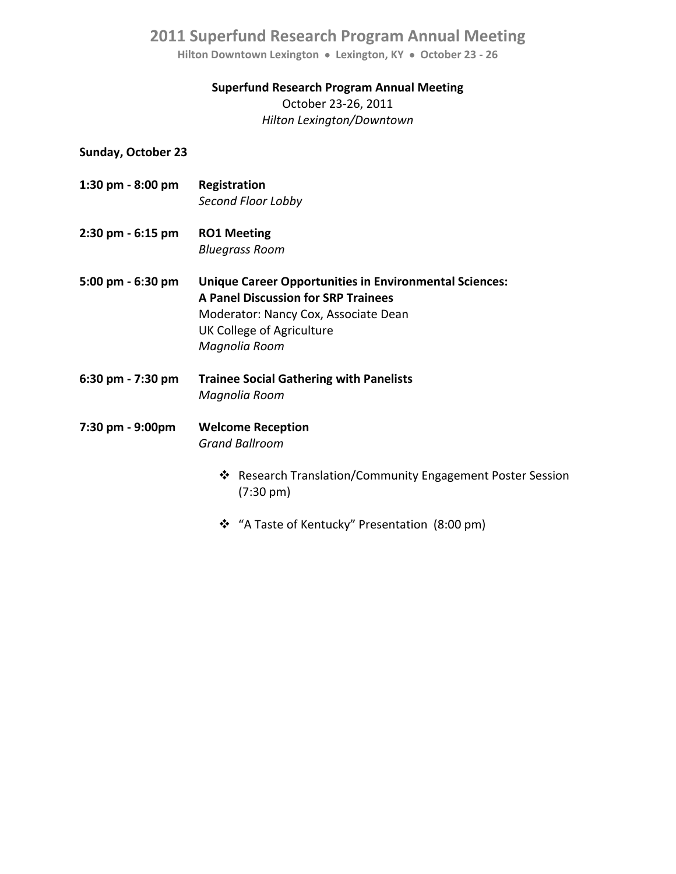**Hilton Downtown Lexington Lexington, KY October 23 ‐ 26**

#### **Superfund Research Program Annual Meeting**

October 23‐26, 2011 *Hilton Lexington/Downtown*

#### **Sunday, October 23**

- **1:30 pm ‐ 8:00 pm Registration**  *Second Floor Lobby*
- **2:30 pm ‐ 6:15 pm RO1 Meeting**  *Bluegrass Room*
- **5:00 pm ‐ 6:30 pm Unique Career Opportunities in Environmental Sciences: A Panel Discussion for SRP Trainees**  Moderator: Nancy Cox, Associate Dean UK College of Agriculture  *Magnolia Room*
- **6:30 pm ‐ 7:30 pm Trainee Social Gathering with Panelists**  *Magnolia Room*

### **7:30 pm ‐ 9:00pm Welcome Reception**  *Grand Ballroom*

- ❖ Research Translation/Community Engagement Poster Session (7:30 pm)
- \* "A Taste of Kentucky" Presentation (8:00 pm)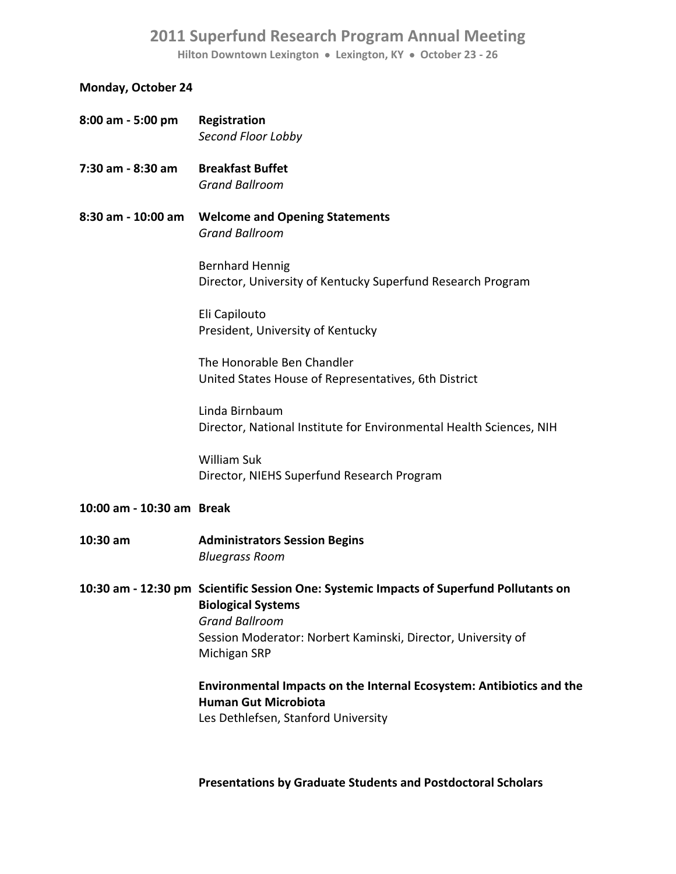**Hilton Downtown Lexington Lexington, KY October 23 ‐ 26**

### **Monday, October 24**

| 8:00 am - 5:00 pm         | Registration<br>Second Floor Lobby                                                                                                                                                                                            |
|---------------------------|-------------------------------------------------------------------------------------------------------------------------------------------------------------------------------------------------------------------------------|
| 7:30 am - 8:30 am         | <b>Breakfast Buffet</b><br><b>Grand Ballroom</b>                                                                                                                                                                              |
| 8:30 am - 10:00 am        | <b>Welcome and Opening Statements</b><br><b>Grand Ballroom</b>                                                                                                                                                                |
|                           | <b>Bernhard Hennig</b><br>Director, University of Kentucky Superfund Research Program                                                                                                                                         |
|                           | Eli Capilouto<br>President, University of Kentucky                                                                                                                                                                            |
|                           | The Honorable Ben Chandler<br>United States House of Representatives, 6th District                                                                                                                                            |
|                           | Linda Birnbaum<br>Director, National Institute for Environmental Health Sciences, NIH                                                                                                                                         |
|                           | <b>William Suk</b><br>Director, NIEHS Superfund Research Program                                                                                                                                                              |
| 10:00 am - 10:30 am Break |                                                                                                                                                                                                                               |
| 10:30 am                  | <b>Administrators Session Begins</b><br><b>Bluegrass Room</b>                                                                                                                                                                 |
|                           | 10:30 am - 12:30 pm Scientific Session One: Systemic Impacts of Superfund Pollutants on<br><b>Biological Systems</b><br><b>Grand Ballroom</b><br>Session Moderator: Norbert Kaminski, Director, University of<br>Michigan SRP |
|                           | Environmental Impacts on the Internal Ecosystem: Antibiotics and the<br><b>Human Gut Microbiota</b><br>Les Dethlefsen, Stanford University                                                                                    |
|                           |                                                                                                                                                                                                                               |

 **Presentations by Graduate Students and Postdoctoral Scholars**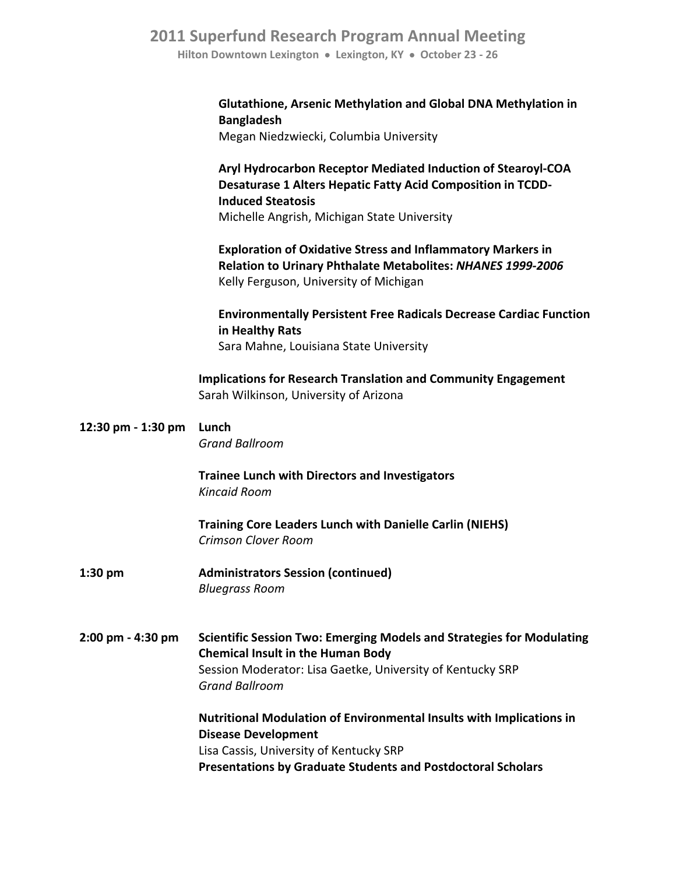**Hilton Downtown Lexington Lexington, KY October 23 ‐ 26**

### **Glutathione, Arsenic Methylation and Global DNA Methylation in Bangladesh**

Megan Niedzwiecki, Columbia University

 **Aryl Hydrocarbon Receptor Mediated Induction of Stearoyl‐COA Desaturase 1 Alters Hepatic Fatty Acid Composition in TCDD‐ Induced Steatosis** Michelle Angrish, Michigan State University

 **Exploration of Oxidative Stress and Inflammatory Markers in Relation to Urinary Phthalate Metabolites:** *NHANES 1999‐2006* Kelly Ferguson, University of Michigan

 **Environmentally Persistent Free Radicals Decrease Cardiac Function in Healthy Rats** Sara Mahne, Louisiana State University

 **Implications for Research Translation and Community Engagement** Sarah Wilkinson, University of Arizona

| 12:30 pm - 1:30 pm | Lunch<br><b>Grand Ballroom</b>                                                                                                                                                         |
|--------------------|----------------------------------------------------------------------------------------------------------------------------------------------------------------------------------------|
|                    | <b>Trainee Lunch with Directors and Investigators</b><br>Kincaid Room                                                                                                                  |
|                    | <b>Training Core Leaders Lunch with Danielle Carlin (NIEHS)</b><br><b>Crimson Clover Room</b>                                                                                          |
| $1:30$ pm          | <b>Administrators Session (continued)</b><br><b>Bluegrass Room</b>                                                                                                                     |
| 2:00 pm - 4:30 pm  | <b>Scientific Session Two: Emerging Models and Strategies for Modulating</b><br><b>Chemical Insult in the Human Body</b><br>Session Moderator: Lisa Gaetke, University of Kentucky SRP |
|                    | <b>Grand Ballroom</b>                                                                                                                                                                  |
|                    | <b>Nutritional Modulation of Environmental Insults with Implications in</b>                                                                                                            |
|                    | <b>Disease Development</b>                                                                                                                                                             |
|                    | Lisa Cassis, University of Kentucky SRP                                                                                                                                                |
|                    | <b>Presentations by Graduate Students and Postdoctoral Scholars</b>                                                                                                                    |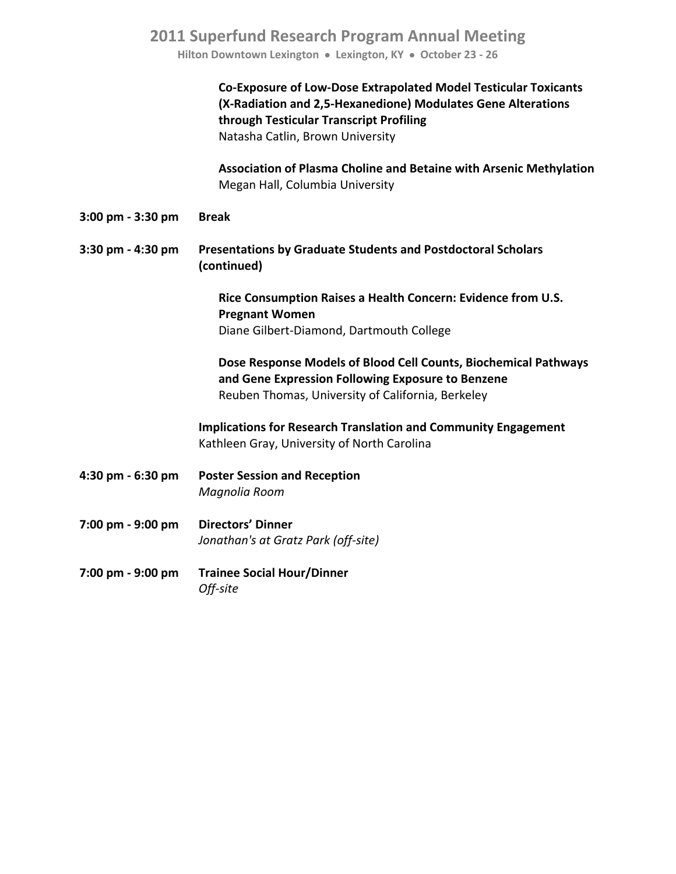**Hilton Downtown Lexington Lexington, KY October 23 ‐ 26**

|                   | <b>Co-Exposure of Low-Dose Extrapolated Model Testicular Toxicants</b><br>(X-Radiation and 2,5-Hexanedione) Modulates Gene Alterations<br>through Testicular Transcript Profiling<br>Natasha Catlin, Brown University |
|-------------------|-----------------------------------------------------------------------------------------------------------------------------------------------------------------------------------------------------------------------|
|                   | Association of Plasma Choline and Betaine with Arsenic Methylation<br>Megan Hall, Columbia University                                                                                                                 |
| 3:00 pm - 3:30 pm | <b>Break</b>                                                                                                                                                                                                          |
| 3:30 pm - 4:30 pm | <b>Presentations by Graduate Students and Postdoctoral Scholars</b><br>(continued)                                                                                                                                    |
|                   | Rice Consumption Raises a Health Concern: Evidence from U.S.<br><b>Pregnant Women</b><br>Diane Gilbert-Diamond, Dartmouth College                                                                                     |
|                   | Dose Response Models of Blood Cell Counts, Biochemical Pathways<br>and Gene Expression Following Exposure to Benzene<br>Reuben Thomas, University of California, Berkeley                                             |
|                   | <b>Implications for Research Translation and Community Engagement</b><br>Kathleen Gray, University of North Carolina                                                                                                  |
| 4:30 pm - 6:30 pm | <b>Poster Session and Reception</b><br>Magnolia Room                                                                                                                                                                  |
| 7:00 pm - 9:00 pm | <b>Directors' Dinner</b><br>Jonathan's at Gratz Park (off-site)                                                                                                                                                       |
| 7:00 pm - 9:00 pm | <b>Trainee Social Hour/Dinner</b><br>Off-site                                                                                                                                                                         |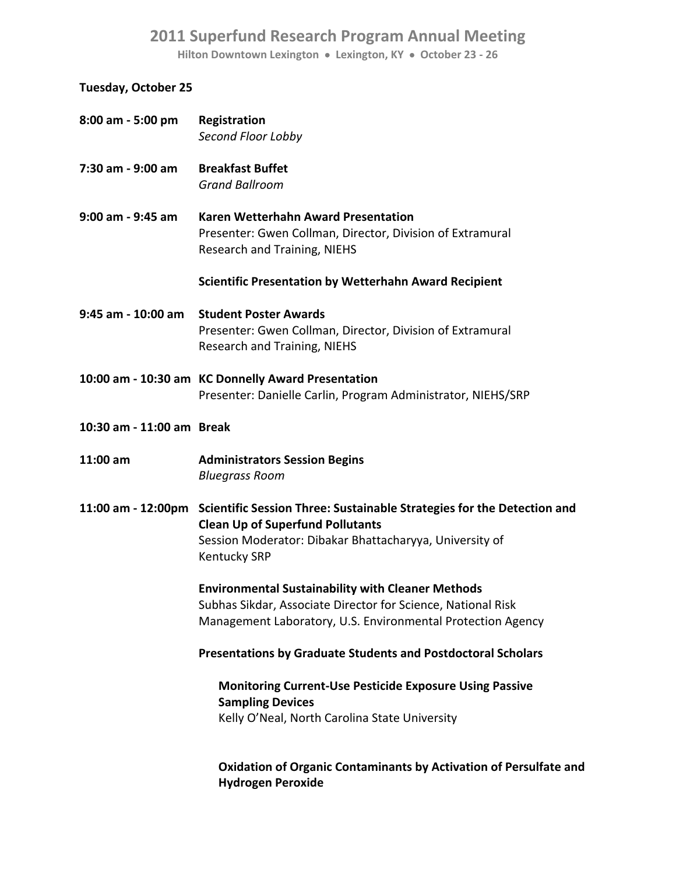**Hilton Downtown Lexington Lexington, KY October 23 ‐ 26**

### **Tuesday, October 25**

| 8:00 am - 5:00 pm         | Registration<br>Second Floor Lobby                                                                                                   |
|---------------------------|--------------------------------------------------------------------------------------------------------------------------------------|
| 7:30 am - 9:00 am         | <b>Breakfast Buffet</b>                                                                                                              |
|                           | <b>Grand Ballroom</b>                                                                                                                |
| 9:00 am - 9:45 am         | Karen Wetterhahn Award Presentation<br>Presenter: Gwen Collman, Director, Division of Extramural<br>Research and Training, NIEHS     |
|                           | <b>Scientific Presentation by Wetterhahn Award Recipient</b>                                                                         |
| 9:45 am - 10:00 am        | <b>Student Poster Awards</b><br>Presenter: Gwen Collman, Director, Division of Extramural<br>Research and Training, NIEHS            |
|                           | 10:00 am - 10:30 am KC Donnelly Award Presentation<br>Presenter: Danielle Carlin, Program Administrator, NIEHS/SRP                   |
| 10:30 am - 11:00 am Break |                                                                                                                                      |
| 11:00 am                  | <b>Administrators Session Begins</b><br><b>Bluegrass Room</b>                                                                        |
|                           | 11:00 am - 12:00pm Scientific Session Three: Sustainable Strategies for the Detection and<br><b>Clean Up of Superfund Pollutants</b> |
|                           | Session Moderator: Dibakar Bhattacharyya, University of<br><b>Kentucky SRP</b>                                                       |
|                           | <b>Environmental Sustainability with Cleaner Methods</b>                                                                             |
|                           | Subhas Sikdar, Associate Director for Science, National Risk                                                                         |
|                           | Management Laboratory, U.S. Environmental Protection Agency                                                                          |
|                           | <b>Presentations by Graduate Students and Postdoctoral Scholars</b>                                                                  |
|                           | <b>Monitoring Current-Use Pesticide Exposure Using Passive</b><br><b>Sampling Devices</b>                                            |
|                           | Kelly O'Neal, North Carolina State University                                                                                        |
|                           | <b>Oxidation of Organic Contaminants by Activation of Persulfate and</b><br><b>Hydrogen Peroxide</b>                                 |